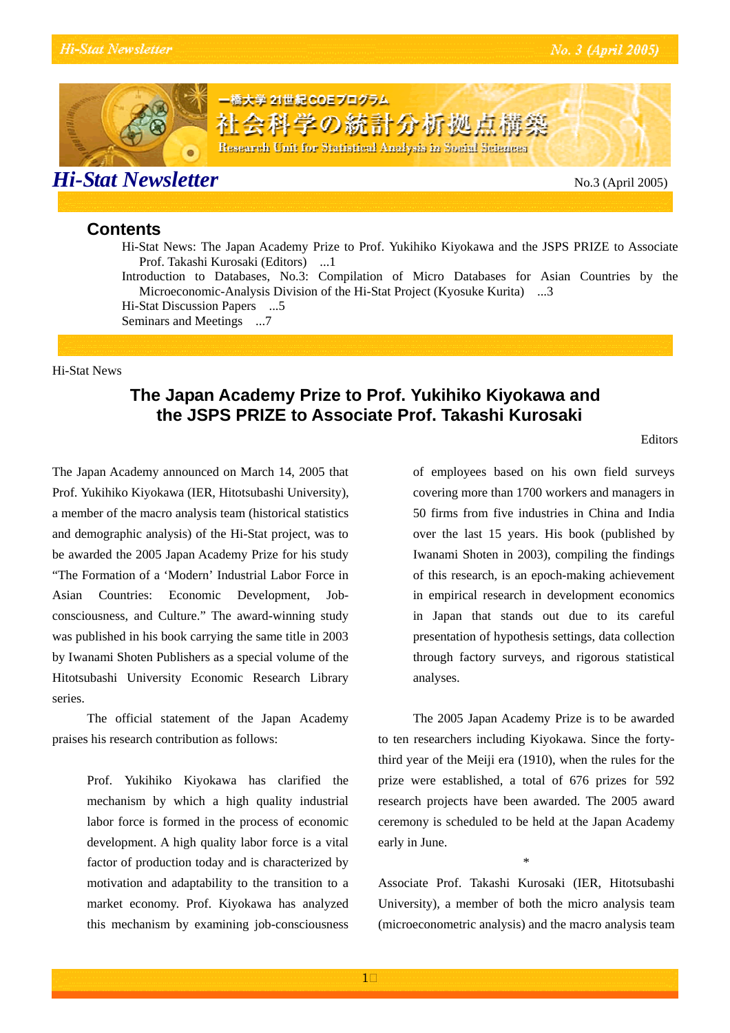

### **Contents**

Hi-Stat News: The Japan Academy Prize to Prof. Yukihiko Kiyokawa and the JSPS PRIZE to Associate Prof. Takashi Kurosaki (Editors) ...1

Introduction to Databases, No.3: Compilation of Micro Databases for Asian Countries by the Microeconomic-Analysis Division of the Hi-Stat Project (Kyosuke Kurita) ...3 Hi-Stat Discussion Papers ...5

Seminars and Meetings ...7

#### Hi-Stat News

### **The Japan Academy Prize to Prof. Yukihiko Kiyokawa and the JSPS PRIZE to Associate Prof. Takashi Kurosaki**

The Japan Academy announced on March 14, 2005 that Prof. Yukihiko Kiyokawa (IER, Hitotsubashi University), a member of the macro analysis team (historical statistics and demographic analysis) of the Hi-Stat project, was to be awarded the 2005 Japan Academy Prize for his study "The Formation of a 'Modern' Industrial Labor Force in Asian Countries: Economic Development, Jobconsciousness, and Culture." The award-winning study was published in his book carrying the same title in 2003 by Iwanami Shoten Publishers as a special volume of the Hitotsubashi University Economic Research Library series.

The official statement of the Japan Academy praises his research contribution as follows:

> Prof. Yukihiko Kiyokawa has clarified the mechanism by which a high quality industrial labor force is formed in the process of economic development. A high quality labor force is a vital factor of production today and is characterized by motivation and adaptability to the transition to a market economy. Prof. Kiyokawa has analyzed this mechanism by examining job-consciousness

of employees based on his own field surveys covering more than 1700 workers and managers in 50 firms from five industries in China and India over the last 15 years. His book (published by Iwanami Shoten in 2003), compiling the findings of this research, is an epoch-making achievement in empirical research in development economics in Japan that stands out due to its careful presentation of hypothesis settings, data collection through factory surveys, and rigorous statistical analyses.

The 2005 Japan Academy Prize is to be awarded to ten researchers including Kiyokawa. Since the fortythird year of the Meiji era (1910), when the rules for the prize were established, a total of 676 prizes for 592 research projects have been awarded. The 2005 award ceremony is scheduled to be held at the Japan Academy early in June.

Associate Prof. Takashi Kurosaki (IER, Hitotsubashi University), a member of both the micro analysis team (microeconometric analysis) and the macro analysis team

\*

Editors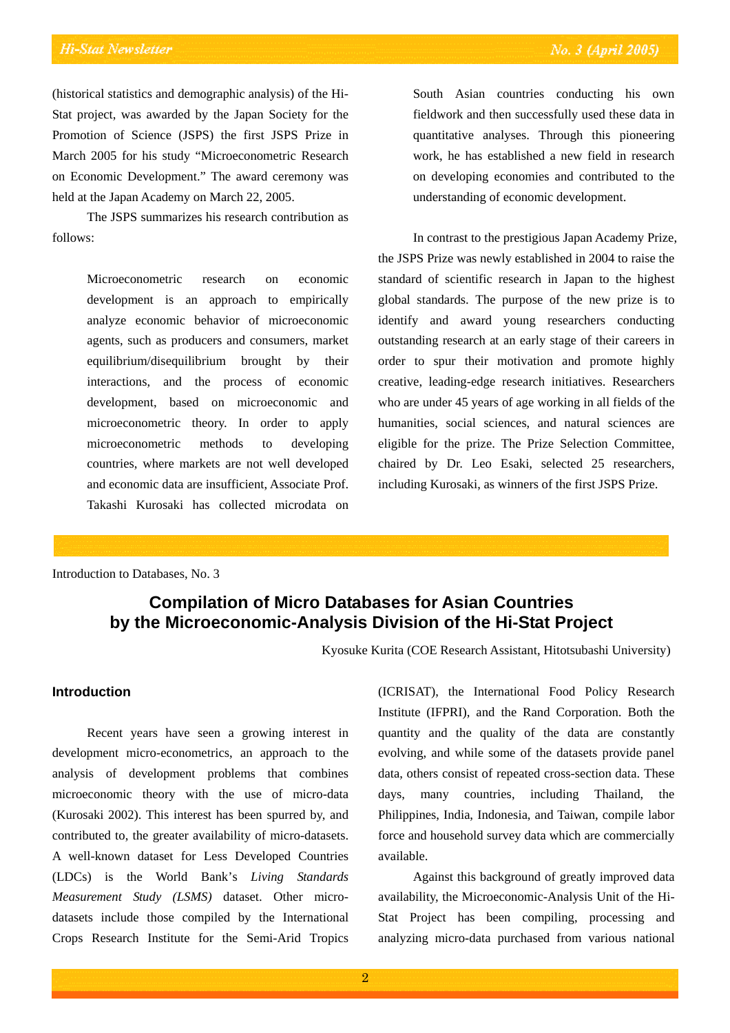(historical statistics and demographic analysis) of the Hi-Stat project, was awarded by the Japan Society for the Promotion of Science (JSPS) the first JSPS Prize in March 2005 for his study "Microeconometric Research on Economic Development." The award ceremony was held at the Japan Academy on March 22, 2005.

The JSPS summarizes his research contribution as follows:

> Microeconometric research on economic development is an approach to empirically analyze economic behavior of microeconomic agents, such as producers and consumers, market equilibrium/disequilibrium brought by their interactions, and the process of economic development, based on microeconomic and microeconometric theory. In order to apply microeconometric methods to developing countries, where markets are not well developed and economic data are insufficient, Associate Prof. Takashi Kurosaki has collected microdata on

South Asian countries conducting his own fieldwork and then successfully used these data in quantitative analyses. Through this pioneering work, he has established a new field in research on developing economies and contributed to the understanding of economic development.

In contrast to the prestigious Japan Academy Prize, the JSPS Prize was newly established in 2004 to raise the standard of scientific research in Japan to the highest global standards. The purpose of the new prize is to identify and award young researchers conducting outstanding research at an early stage of their careers in order to spur their motivation and promote highly creative, leading-edge research initiatives. Researchers who are under 45 years of age working in all fields of the humanities, social sciences, and natural sciences are eligible for the prize. The Prize Selection Committee, chaired by Dr. Leo Esaki, selected 25 researchers, including Kurosaki, as winners of the first JSPS Prize.

Introduction to Databases, No. 3

# **Compilation of Micro Databases for Asian Countries by the Microeconomic-Analysis Division of the Hi-Stat Project**

Kyosuke Kurita (COE Research Assistant, Hitotsubashi University)

#### **Introduction**

Recent years have seen a growing interest in development micro-econometrics, an approach to the analysis of development problems that combines microeconomic theory with the use of micro-data (Kurosaki 2002). This interest has been spurred by, and contributed to, the greater availability of micro-datasets. A well-known dataset for Less Developed Countries (LDCs) is the World Bank's *Living Standards Measurement Study (LSMS)* dataset. Other microdatasets include those compiled by the International Crops Research Institute for the Semi-Arid Tropics

(ICRISAT), the International Food Policy Research Institute (IFPRI), and the Rand Corporation. Both the quantity and the quality of the data are constantly evolving, and while some of the datasets provide panel data, others consist of repeated cross-section data. These days, many countries, including Thailand, the Philippines, India, Indonesia, and Taiwan, compile labor force and household survey data which are commercially available.

Against this background of greatly improved data availability, the Microeconomic-Analysis Unit of the Hi-Stat Project has been compiling, processing and analyzing micro-data purchased from various national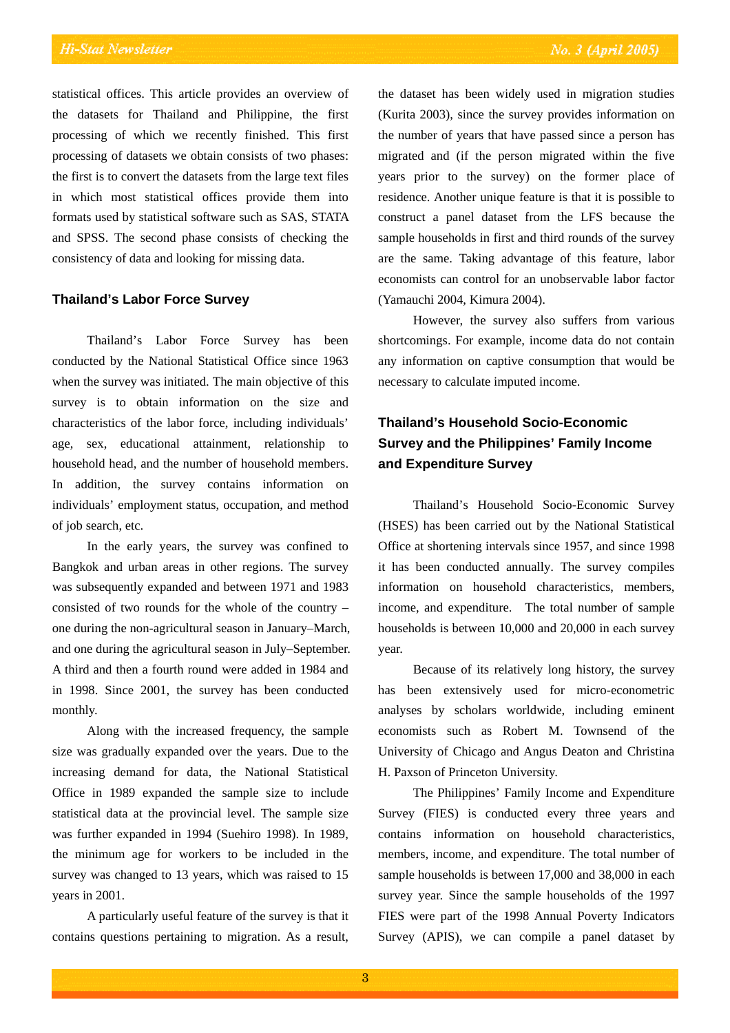statistical offices. This article provides an overview of the datasets for Thailand and Philippine, the first processing of which we recently finished. This first processing of datasets we obtain consists of two phases: the first is to convert the datasets from the large text files in which most statistical offices provide them into formats used by statistical software such as SAS, STATA and SPSS. The second phase consists of checking the consistency of data and looking for missing data.

#### **Thailand's Labor Force Survey**

Thailand's Labor Force Survey has been conducted by the National Statistical Office since 1963 when the survey was initiated. The main objective of this survey is to obtain information on the size and characteristics of the labor force, including individuals' age, sex, educational attainment, relationship to household head, and the number of household members. In addition, the survey contains information on individuals' employment status, occupation, and method of job search, etc.

In the early years, the survey was confined to Bangkok and urban areas in other regions. The survey was subsequently expanded and between 1971 and 1983 consisted of two rounds for the whole of the country – one during the non-agricultural season in January–March, and one during the agricultural season in July–September. A third and then a fourth round were added in 1984 and in 1998. Since 2001, the survey has been conducted monthly.

Along with the increased frequency, the sample size was gradually expanded over the years. Due to the increasing demand for data, the National Statistical Office in 1989 expanded the sample size to include statistical data at the provincial level. The sample size was further expanded in 1994 (Suehiro 1998). In 1989, the minimum age for workers to be included in the survey was changed to 13 years, which was raised to 15 years in 2001.

A particularly useful feature of the survey is that it contains questions pertaining to migration. As a result,

the dataset has been widely used in migration studies (Kurita 2003), since the survey provides information on the number of years that have passed since a person has migrated and (if the person migrated within the five years prior to the survey) on the former place of residence. Another unique feature is that it is possible to construct a panel dataset from the LFS because the sample households in first and third rounds of the survey are the same. Taking advantage of this feature, labor economists can control for an unobservable labor factor (Yamauchi 2004, Kimura 2004).

However, the survey also suffers from various shortcomings. For example, income data do not contain any information on captive consumption that would be necessary to calculate imputed income.

# **Thailand's Household Socio-Economic Survey and the Philippines' Family Income and Expenditure Survey**

Thailand's Household Socio-Economic Survey (HSES) has been carried out by the National Statistical Office at shortening intervals since 1957, and since 1998 it has been conducted annually. The survey compiles information on household characteristics, members, income, and expenditure. The total number of sample households is between 10,000 and 20,000 in each survey year.

Because of its relatively long history, the survey has been extensively used for micro-econometric analyses by scholars worldwide, including eminent economists such as Robert M. Townsend of the University of Chicago and Angus Deaton and Christina H. Paxson of Princeton University.

The Philippines' Family Income and Expenditure Survey (FIES) is conducted every three years and contains information on household characteristics, members, income, and expenditure. The total number of sample households is between 17,000 and 38,000 in each survey year. Since the sample households of the 1997 FIES were part of the 1998 Annual Poverty Indicators Survey (APIS), we can compile a panel dataset by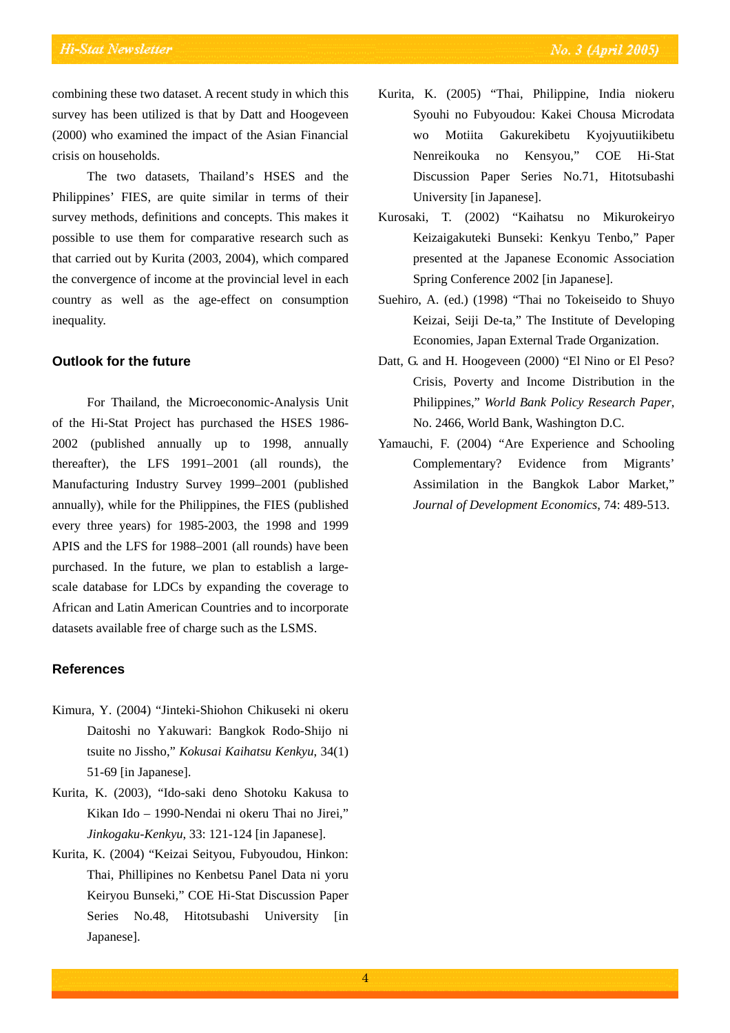combining these two dataset. A recent study in which this survey has been utilized is that by Datt and Hoogeveen (2000) who examined the impact of the Asian Financial crisis on households.

The two datasets, Thailand's HSES and the Philippines' FIES, are quite similar in terms of their survey methods, definitions and concepts. This makes it possible to use them for comparative research such as that carried out by Kurita (2003, 2004), which compared the convergence of income at the provincial level in each country as well as the age-effect on consumption inequality.

#### **Outlook for the future**

For Thailand, the Microeconomic-Analysis Unit of the Hi-Stat Project has purchased the HSES 1986- 2002 (published annually up to 1998, annually thereafter), the LFS 1991–2001 (all rounds), the Manufacturing Industry Survey 1999–2001 (published annually), while for the Philippines, the FIES (published every three years) for 1985-2003, the 1998 and 1999 APIS and the LFS for 1988–2001 (all rounds) have been purchased. In the future, we plan to establish a largescale database for LDCs by expanding the coverage to African and Latin American Countries and to incorporate datasets available free of charge such as the LSMS.

#### **References**

- Kimura, Y. (2004) "Jinteki-Shiohon Chikuseki ni okeru Daitoshi no Yakuwari: Bangkok Rodo-Shijo ni tsuite no Jissho," *Kokusai Kaihatsu Kenkyu*, 34(1) 51-69 [in Japanese].
- Kurita, K. (2003), "Ido-saki deno Shotoku Kakusa to Kikan Ido – 1990-Nendai ni okeru Thai no Jirei," *Jinkogaku-Kenkyu*, 33: 121-124 [in Japanese].
- Kurita, K. (2004) "Keizai Seityou, Fubyoudou, Hinkon: Thai, Phillipines no Kenbetsu Panel Data ni yoru Keiryou Bunseki," COE Hi-Stat Discussion Paper Series No.48, Hitotsubashi University [in Japanese].
- Kurita, K. (2005) "Thai, Philippine, India niokeru Syouhi no Fubyoudou: Kakei Chousa Microdata wo Motiita Gakurekibetu Kyojyuutiikibetu Nenreikouka no Kensyou," COE Hi-Stat Discussion Paper Series No.71, Hitotsubashi University [in Japanese].
- Kurosaki, T. (2002) "Kaihatsu no Mikurokeiryo Keizaigakuteki Bunseki: Kenkyu Tenbo," Paper presented at the Japanese Economic Association Spring Conference 2002 [in Japanese].
- Suehiro, A. (ed.) (1998) "Thai no Tokeiseido to Shuyo Keizai, Seiji De-ta," The Institute of Developing Economies, Japan External Trade Organization.
- Datt, G. and H. Hoogeveen (2000) "El Nino or El Peso? Crisis, Poverty and Income Distribution in the Philippines," *World Bank Policy Research Paper*, No. 2466, World Bank, Washington D.C.
- Yamauchi, F. (2004) "Are Experience and Schooling Complementary? Evidence from Migrants' Assimilation in the Bangkok Labor Market," *Journal of Development Economics*, 74: 489-513.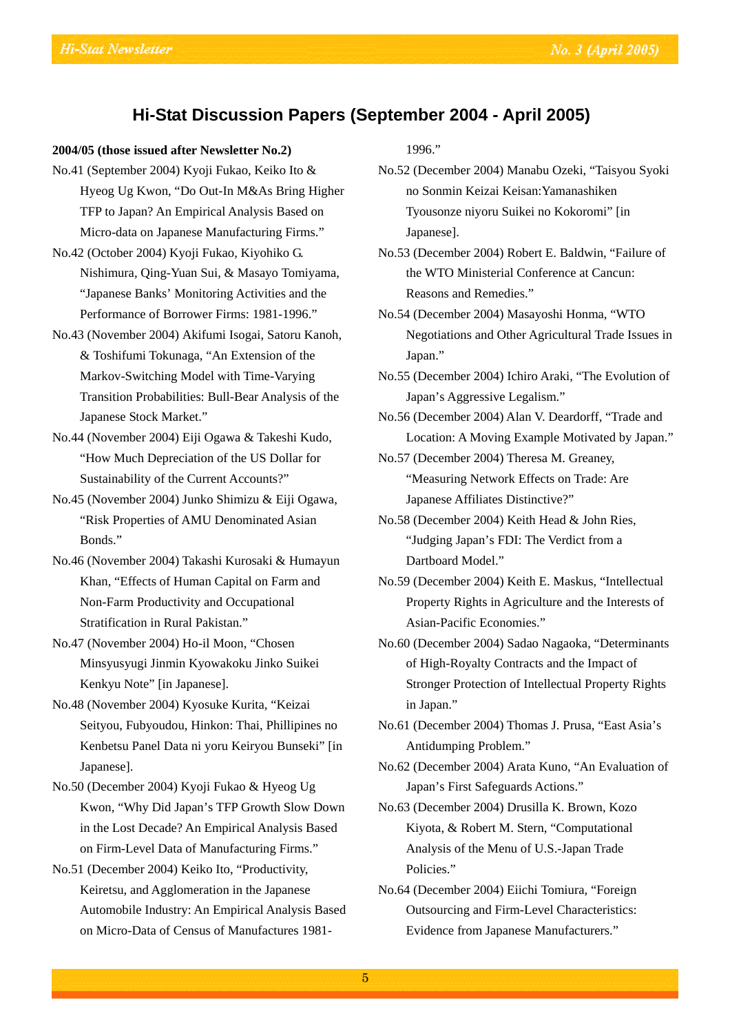### **Hi-Stat Discussion Papers (September 2004 - April 2005)**

#### **2004/05 (those issued after Newsletter No.2)**

- No.41 (September 2004) Kyoji Fukao, Keiko Ito & Hyeog Ug Kwon, "Do Out-In M&As Bring Higher TFP to Japan? An Empirical Analysis Based on Micro-data on Japanese Manufacturing Firms."
- No.42 (October 2004) Kyoji Fukao, Kiyohiko G. Nishimura, Qing-Yuan Sui, & Masayo Tomiyama, "Japanese Banks' Monitoring Activities and the Performance of Borrower Firms: 1981-1996."
- No.43 (November 2004) Akifumi Isogai, Satoru Kanoh, & Toshifumi Tokunaga, "An Extension of the Markov-Switching Model with Time-Varying Transition Probabilities: Bull-Bear Analysis of the Japanese Stock Market."
- No.44 (November 2004) Eiji Ogawa & Takeshi Kudo, "How Much Depreciation of the US Dollar for Sustainability of the Current Accounts?"
- No.45 (November 2004) Junko Shimizu & Eiji Ogawa, "Risk Properties of AMU Denominated Asian Bonds."
- No.46 (November 2004) Takashi Kurosaki & Humayun Khan, "Effects of Human Capital on Farm and Non-Farm Productivity and Occupational Stratification in Rural Pakistan."
- No.47 (November 2004) Ho-il Moon, "Chosen Minsyusyugi Jinmin Kyowakoku Jinko Suikei Kenkyu Note" [in Japanese].
- No.48 (November 2004) Kyosuke Kurita, "Keizai Seityou, Fubyoudou, Hinkon: Thai, Phillipines no Kenbetsu Panel Data ni yoru Keiryou Bunseki" [in Japanese].
- No.50 (December 2004) Kyoji Fukao & Hyeog Ug Kwon, "Why Did Japan's TFP Growth Slow Down in the Lost Decade? An Empirical Analysis Based on Firm-Level Data of Manufacturing Firms."
- No.51 (December 2004) Keiko Ito, "Productivity, Keiretsu, and Agglomeration in the Japanese Automobile Industry: An Empirical Analysis Based on Micro-Data of Census of Manufactures 1981-

1996."

- No.52 (December 2004) Manabu Ozeki, "Taisyou Syoki no Sonmin Keizai Keisan:Yamanashiken Tyousonze niyoru Suikei no Kokoromi" [in Japanese].
- No.53 (December 2004) Robert E. Baldwin, "Failure of the WTO Ministerial Conference at Cancun: Reasons and Remedies."
- No.54 (December 2004) Masayoshi Honma, "WTO Negotiations and Other Agricultural Trade Issues in Japan."
- No.55 (December 2004) Ichiro Araki, "The Evolution of Japan's Aggressive Legalism."
- No.56 (December 2004) Alan V. Deardorff, "Trade and Location: A Moving Example Motivated by Japan."
- No.57 (December 2004) Theresa M. Greaney, "Measuring Network Effects on Trade: Are Japanese Affiliates Distinctive?"
- No.58 (December 2004) Keith Head & John Ries, "Judging Japan's FDI: The Verdict from a Dartboard Model."
- No.59 (December 2004) Keith E. Maskus, "Intellectual Property Rights in Agriculture and the Interests of Asian-Pacific Economies."
- No.60 (December 2004) Sadao Nagaoka, "Determinants of High-Royalty Contracts and the Impact of Stronger Protection of Intellectual Property Rights in Japan."
- No.61 (December 2004) Thomas J. Prusa, "East Asia's Antidumping Problem."
- No.62 (December 2004) Arata Kuno, "An Evaluation of Japan's First Safeguards Actions."
- No.63 (December 2004) Drusilla K. Brown, Kozo Kiyota, & Robert M. Stern, "Computational Analysis of the Menu of U.S.-Japan Trade Policies."
- No.64 (December 2004) Eiichi Tomiura, "Foreign Outsourcing and Firm-Level Characteristics: Evidence from Japanese Manufacturers."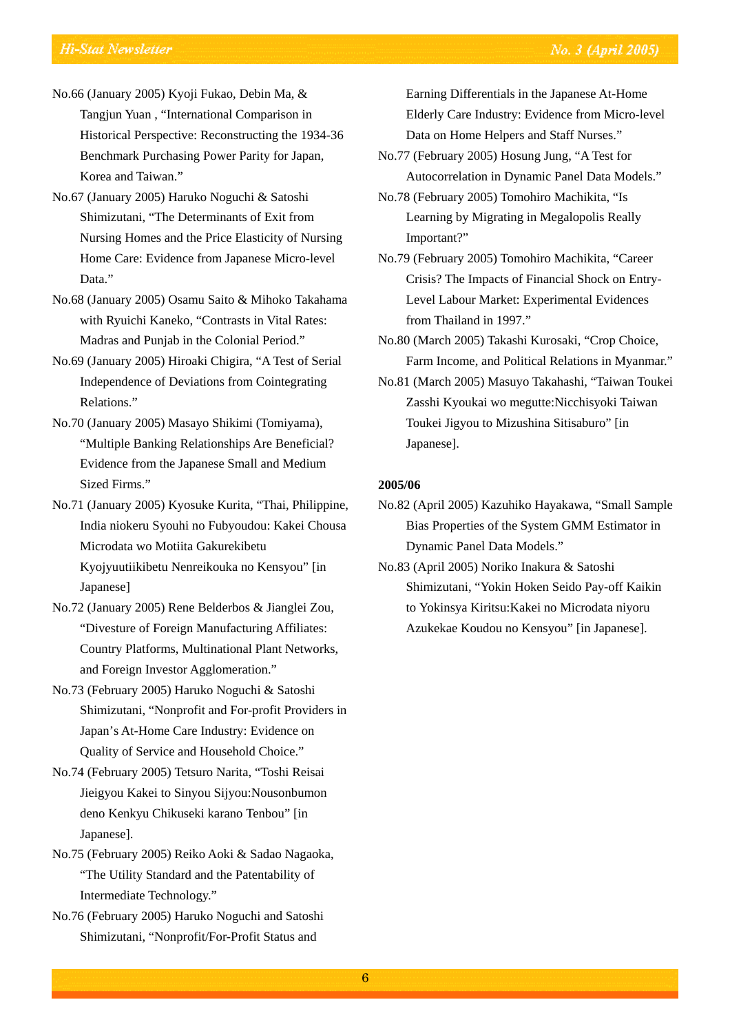- No.66 (January 2005) Kyoji Fukao, Debin Ma, & Tangjun Yuan , "International Comparison in Historical Perspective: Reconstructing the 1934-36 Benchmark Purchasing Power Parity for Japan, Korea and Taiwan."
- No.67 (January 2005) Haruko Noguchi & Satoshi Shimizutani, "The Determinants of Exit from Nursing Homes and the Price Elasticity of Nursing Home Care: Evidence from Japanese Micro-level Data."
- No.68 (January 2005) Osamu Saito & Mihoko Takahama with Ryuichi Kaneko, "Contrasts in Vital Rates: Madras and Punjab in the Colonial Period."
- No.69 (January 2005) Hiroaki Chigira, "A Test of Serial Independence of Deviations from Cointegrating Relations."
- No.70 (January 2005) Masayo Shikimi (Tomiyama), "Multiple Banking Relationships Are Beneficial? Evidence from the Japanese Small and Medium Sized Firms."
- No.71 (January 2005) Kyosuke Kurita, "Thai, Philippine, India niokeru Syouhi no Fubyoudou: Kakei Chousa Microdata wo Motiita Gakurekibetu Kyojyuutiikibetu Nenreikouka no Kensyou" [in Japanese]
- No.72 (January 2005) Rene Belderbos & Jianglei Zou, "Divesture of Foreign Manufacturing Affiliates: Country Platforms, Multinational Plant Networks, and Foreign Investor Agglomeration."
- No.73 (February 2005) Haruko Noguchi & Satoshi Shimizutani, "Nonprofit and For-profit Providers in Japan's At-Home Care Industry: Evidence on Quality of Service and Household Choice."
- No.74 (February 2005) Tetsuro Narita, "Toshi Reisai Jieigyou Kakei to Sinyou Sijyou:Nousonbumon deno Kenkyu Chikuseki karano Tenbou" [in Japanese].
- No.75 (February 2005) Reiko Aoki & Sadao Nagaoka, "The Utility Standard and the Patentability of Intermediate Technology."
- No.76 (February 2005) Haruko Noguchi and Satoshi Shimizutani, "Nonprofit/For-Profit Status and

Earning Differentials in the Japanese At-Home Elderly Care Industry: Evidence from Micro-level Data on Home Helpers and Staff Nurses."

- No.77 (February 2005) Hosung Jung, "A Test for Autocorrelation in Dynamic Panel Data Models."
- No.78 (February 2005) Tomohiro Machikita, "Is Learning by Migrating in Megalopolis Really Important?"
- No.79 (February 2005) Tomohiro Machikita, "Career Crisis? The Impacts of Financial Shock on Entry-Level Labour Market: Experimental Evidences from Thailand in 1997."
- No.80 (March 2005) Takashi Kurosaki, "Crop Choice, Farm Income, and Political Relations in Myanmar."
- No.81 (March 2005) Masuyo Takahashi, "Taiwan Toukei Zasshi Kyoukai wo megutte:Nicchisyoki Taiwan Toukei Jigyou to Mizushina Sitisaburo" [in Japanese].

#### **2005/06**

- No.82 (April 2005) Kazuhiko Hayakawa, "Small Sample Bias Properties of the System GMM Estimator in Dynamic Panel Data Models."
- No.83 (April 2005) Noriko Inakura & Satoshi Shimizutani, "Yokin Hoken Seido Pay-off Kaikin to Yokinsya Kiritsu:Kakei no Microdata niyoru Azukekae Koudou no Kensyou" [in Japanese].